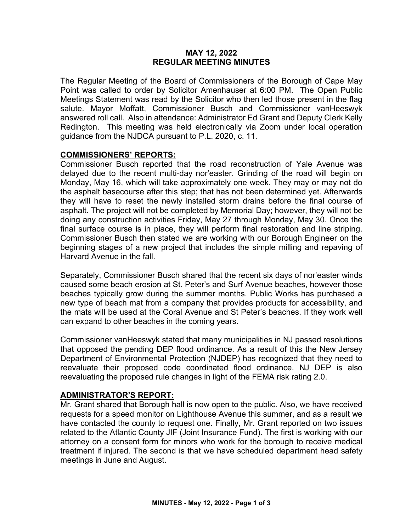#### **MAY 12, 2022 REGULAR MEETING MINUTES**

The Regular Meeting of the Board of Commissioners of the Borough of Cape May Point was called to order by Solicitor Amenhauser at 6:00 PM. The Open Public Meetings Statement was read by the Solicitor who then led those present in the flag salute. Mayor Moffatt, Commissioner Busch and Commissioner vanHeeswyk answered roll call. Also in attendance: Administrator Ed Grant and Deputy Clerk Kelly Redington. This meeting was held electronically via Zoom under local operation guidance from the NJDCA pursuant to P.L. 2020, c. 11.

## **COMMISSIONERS' REPORTS:**

Commissioner Busch reported that the road reconstruction of Yale Avenue was delayed due to the recent multi-day nor'easter. Grinding of the road will begin on Monday, May 16, which will take approximately one week. They may or may not do the asphalt basecourse after this step; that has not been determined yet. Afterwards they will have to reset the newly installed storm drains before the final course of asphalt. The project will not be completed by Memorial Day; however, they will not be doing any construction activities Friday, May 27 through Monday, May 30. Once the final surface course is in place, they will perform final restoration and line striping. Commissioner Busch then stated we are working with our Borough Engineer on the beginning stages of a new project that includes the simple milling and repaving of Harvard Avenue in the fall.

Separately, Commissioner Busch shared that the recent six days of nor'easter winds caused some beach erosion at St. Peter's and Surf Avenue beaches, however those beaches typically grow during the summer months. Public Works has purchased a new type of beach mat from a company that provides products for accessibility, and the mats will be used at the Coral Avenue and St Peter's beaches. If they work well can expand to other beaches in the coming years.

Commissioner vanHeeswyk stated that many municipalities in NJ passed resolutions that opposed the pending DEP flood ordinance. As a result of this the New Jersey Department of Environmental Protection (NJDEP) has recognized that they need to reevaluate their proposed code coordinated flood ordinance. NJ DEP is also reevaluating the proposed rule changes in light of the FEMA risk rating 2.0.

## **ADMINISTRATOR'S REPORT:**

Mr. Grant shared that Borough hall is now open to the public. Also, we have received requests for a speed monitor on Lighthouse Avenue this summer, and as a result we have contacted the county to request one. Finally, Mr. Grant reported on two issues related to the Atlantic County JIF (Joint Insurance Fund). The first is working with our attorney on a consent form for minors who work for the borough to receive medical treatment if injured. The second is that we have scheduled department head safety meetings in June and August.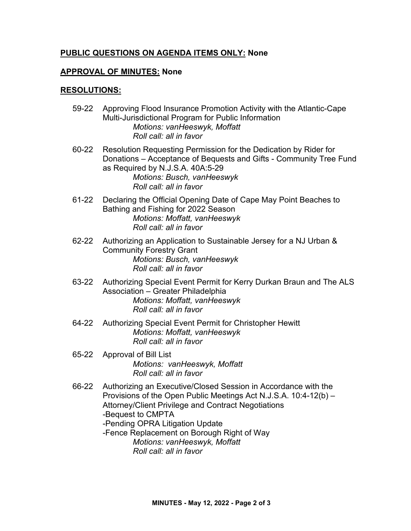# **PUBLIC QUESTIONS ON AGENDA ITEMS ONLY: None**

## **APPROVAL OF MINUTES: None**

#### **RESOLUTIONS:**

- 59-22 Approving Flood Insurance Promotion Activity with the Atlantic-Cape Multi-Jurisdictional Program for Public Information *Motions: vanHeeswyk, Moffatt Roll call: all in favor*
- 60-22 Resolution Requesting Permission for the Dedication by Rider for Donations – Acceptance of Bequests and Gifts - Community Tree Fund as Required by N.J.S.A. 40A:5-29 *Motions: Busch, vanHeeswyk Roll call: all in favor*
- 61-22 Declaring the Official Opening Date of Cape May Point Beaches to Bathing and Fishing for 2022 Season *Motions: Moffatt, vanHeeswyk Roll call: all in favor*
- 62-22 Authorizing an Application to Sustainable Jersey for a NJ Urban & Community Forestry Grant  *Motions: Busch, vanHeeswyk Roll call: all in favor*
- 63-22 Authorizing Special Event Permit for Kerry Durkan Braun and The ALS Association – Greater Philadelphia *Motions: Moffatt, vanHeeswyk Roll call: all in favor*
- 64-22 Authorizing Special Event Permit for Christopher Hewitt *Motions: Moffatt, vanHeeswyk Roll call: all in favor*
- 65-22 Approval of Bill List *Motions: vanHeeswyk, Moffatt Roll call: all in favor*
- 66-22 Authorizing an Executive/Closed Session in Accordance with the Provisions of the Open Public Meetings Act N.J.S.A. 10:4-12(b) – Attorney/Client Privilege and Contract Negotiations -Bequest to CMPTA -Pending OPRA Litigation Update
	- -Fence Replacement on Borough Right of Way *Motions: vanHeeswyk, Moffatt Roll call: all in favor*